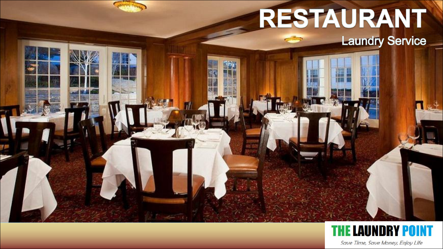# RESTAURANT **Laundry Service**

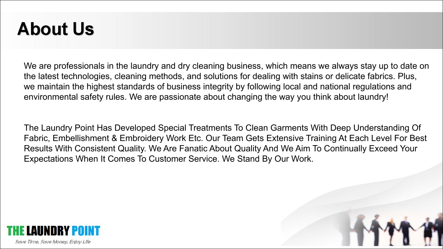## **About Us**

We are professionals in the laundry and dry cleaning business, which means we always stay up to date on the latest technologies, cleaning methods, and solutions for dealing with stains or delicate fabrics. Plus, we maintain the highest standards of business integrity by following local and national regulations and environmental safety rules. We are passionate about changing the way you think about laundry!

The Laundry Point Has Developed Special Treatments To Clean Garments With Deep Understanding Of Fabric, Embellishment & Embroidery Work Etc. Our Team Gets Extensive Training At Each Level For Best Results With Consistent Quality. We Are Fanatic About Quality And We Aim To Continually Exceed Your Expectations When It Comes To Customer Service. We Stand By Our Work.

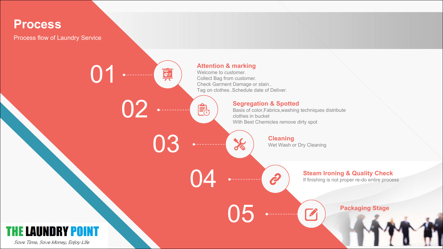

Process flow of Laundry Service

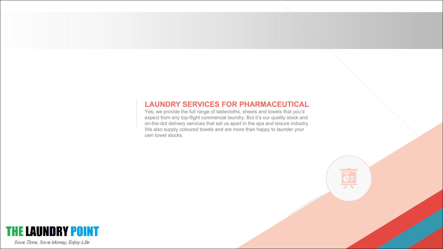#### **LAUNDRY SERVICES FOR PHARMACEUTICAL**

Yes, we provide the full range of tablecloths, sheets and towels that you'd expect from any top-flight commercial laundry. But it's our quality stock and on-the-dot delivery services that set us apart in the spa and leisure industry. We also supply coloured towels and are more than happy to launder your own towel stocks.

 $\frac{1}{\sqrt{2}}$ 

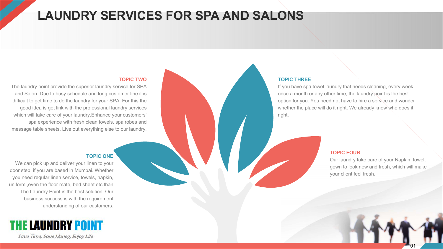### **LAUNDRY SERVICES FOR SPA AND SALONS**

#### **TOPIC TWO**

The laundry point provide the superior laundry service for SPA and Salon. Due to busy schedule and long customer line it is difficult to get time to do the laundry for your SPA. For this the good idea is get link with the professional laundry services which will take care of your laundry.Enhance your customers' spa experience with fresh clean towels, spa robes and message table sheets. Live out everything else to our laundry.

#### **TOPIC THREE**

If you have spa towel laundry that needs cleaning, every week, once a month or any other time, the laundry point is the best option for you. You need not have to hire a service and wonder whether the place will do it right. We already know who does it right.

#### **TOPIC FOUR**

Our laundry take care of your Napkin, towel, gown to look new and fresh, which will make your client feel fresh.

01

#### **TOPIC ONE**

We can pick up and deliver your linen to your door step, if you are based in Mumbai. Whether you need regular linen service, towels, napkin, uniform ,even the floor mate, bed sheet etc than The Laundry Point is the best solution. Our business success is with the requirement understanding of our customers.

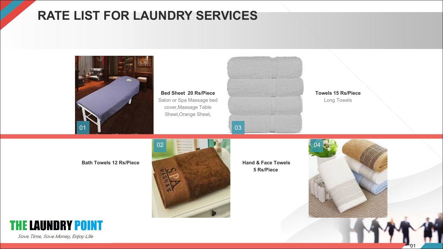### **RATE LIST FOR LAUNDRY SERVICES**



**Bed Sheet 20 Rs/Piece** Salon or Spa Massage bed cover,Massage Table



Long Towels



**5 Rs/Piece**



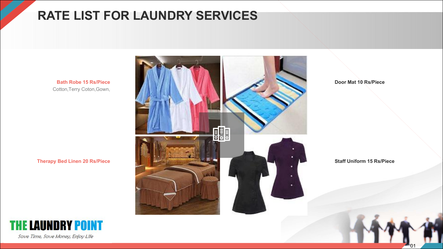### **RATE LIST FOR LAUNDRY SERVICES**

**Bath Robe 15 Rs/Piece** Cotton,Terry Coton,Gown,

**Therapy Bed Linen 20 Rs/Piece**



**Door Mat 10 Rs/Piece**

**Staff Uniform 15 Rs/Piece**

**THE LAUNDRY POINT** 

Save Time, Save Money, Enjoy Life

01